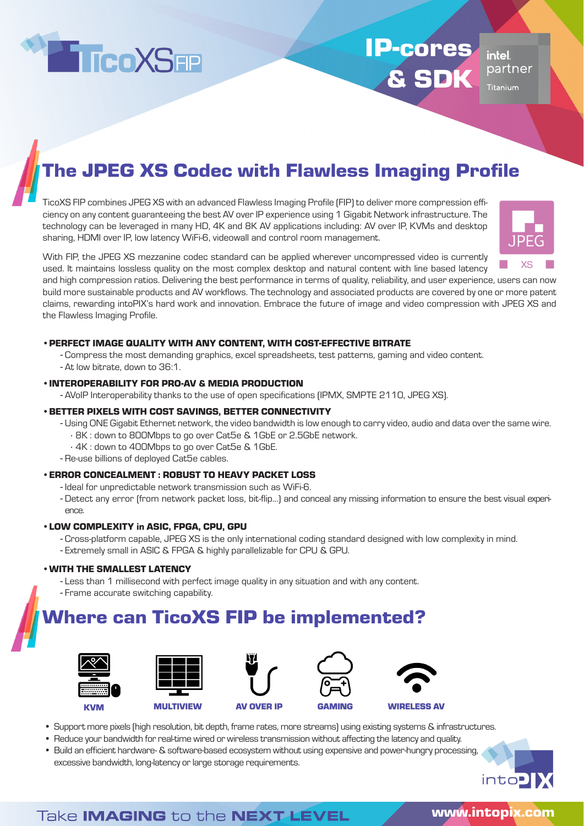

# IP-cores & SDK

intel partner **Titanium** 

## The JPEG XS Codec with Flawless Imaging Profile

TicoXS FIP combines JPEG XS with an advanced Flawless Imaging Profile (FIP) to deliver more compression efficiency on any content guaranteeing the best AV over IP experience using 1 Gigabit Network infrastructure. The technology can be leveraged in many HD, 4K and 8K AV applications including: AV over IP, KVMs and desktop sharing, HDMI over IP, low latency WiFi-6, videowall and control room management.



With FIP, the JPEG XS mezzanine codec standard can be applied wherever uncompressed video is currently used. It maintains lossless quality on the most complex desktop and natural content with line based latency

and high compression ratios. Delivering the best performance in terms of quality, reliability, and user experience, users can now build more sustainable products and AV workflows. The technology and associated products are covered by one or more patent claims, rewarding intoPIX's hard work and innovation. Embrace the future of image and video compression with JPEG XS and the Flawless Imaging Profile.

#### •PERFECT IMAGE QUALITY WITH ANY CONTENT, WITH COST-EFFECTIVE BITRATE

- Compress the most demanding graphics, excel spreadsheets, test patterns, gaming and video content.
- At low bitrate, down to 36:1.

#### •INTEROPERABILITY FOR PRO-AV & MEDIA PRODUCTION

- AVoIP Interoperability thanks to the use of open specifications (IPMX, SMPTE 2110, JPEG XS).

#### •BETTER PIXELS WITH COST SAVINGS, BETTER CONNECTIVITY

- Using ONE Gigabit Ethernet network, the video bandwidth is low enough to carry video, audio and data over the same wire.
	- ∙ 8K : down to 800Mbps to go over Cat5e & 1GbE or 2.5GbE network.
	- ∙ 4K : down to 400Mbps to go over Cat5e & 1GbE.
- Re-use billions of deployed Cat5e cables.

#### •ERROR CONCEALMENT : ROBUST TO HEAVY PACKET LOSS

- Ideal for unpredictable network transmission such as WiFi-6.
- Detect any error (from network packet loss, bit-flip...) and conceal any missing information to ensure the best visual experience.

#### •LOW COMPLEXITY in ASIC, FPGA, CPU, GPU

- Cross-platform capable, JPEG XS is the only international coding standard designed with low complexity in mind.
- Extremely small in ASIC & FPGA & highly parallelizable for CPU & GPU.

#### •WITH THE SMALLEST LATENCY

- Less than 1 millisecond with perfect image quality in any situation and with any content.
- Frame accurate switching capability.

### Where can TicoXS FIP be implemented?











- Support more pixels (high resolution, bit depth, frame rates, more streams) using existing systems & infrastructures.
- Reduce your bandwidth for real-time wired or wireless transmission without affecting the latency and quality.
- Build an efficient hardware- & software-based ecosystem without using expensive and power-hungry processing, excessive bandwidth, long-latency or large storage requirements.



into<sup>-</sup>